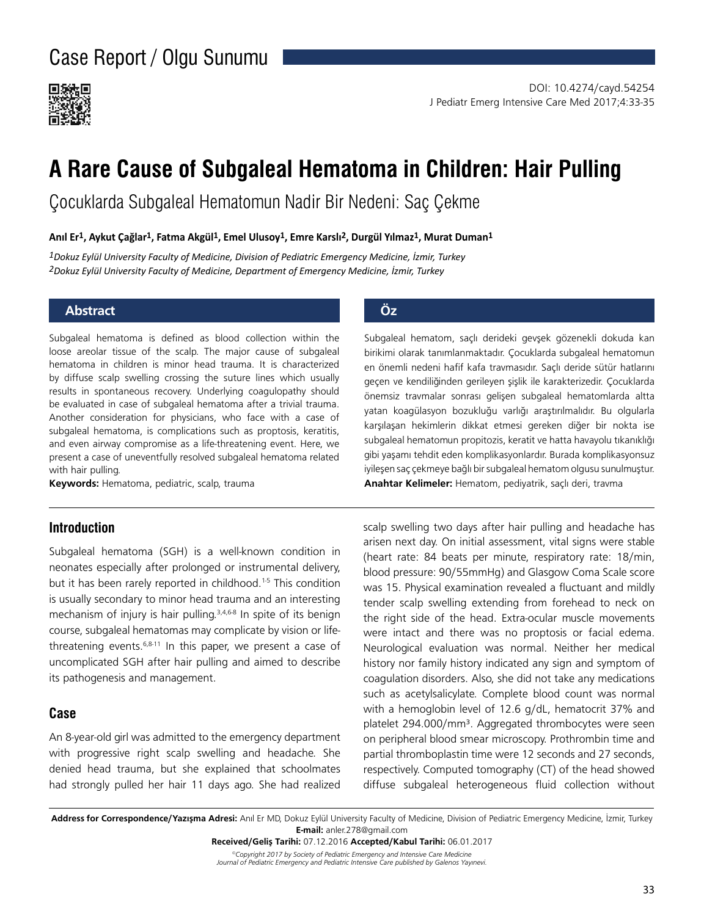

# **A Rare Cause of Subgaleal Hematoma in Children: Hair Pulling**

Çocuklarda Subgaleal Hematomun Nadir Bir Nedeni: Saç Çekme

### **Anıl Er1, Aykut Çağlar1, Fatma Akgül1, Emel Ulusoy1, Emre Karslı2, Durgül Yılmaz1, Murat Duman1**

*1Dokuz Eylül University Faculty of Medicine, Division of Pediatric Emergency Medicine, İzmir, Turkey 2Dokuz Eylül University Faculty of Medicine, Department of Emergency Medicine, İzmir, Turkey*

### **Abstract Öz**

Subgaleal hematoma is defined as blood collection within the loose areolar tissue of the scalp. The major cause of subgaleal hematoma in children is minor head trauma. It is characterized by diffuse scalp swelling crossing the suture lines which usually results in spontaneous recovery. Underlying coagulopathy should be evaluated in case of subgaleal hematoma after a trivial trauma. Another consideration for physicians, who face with a case of subgaleal hematoma, is complications such as proptosis, keratitis, and even airway compromise as a life-threatening event. Here, we present a case of uneventfully resolved subgaleal hematoma related with hair pulling.

**Keywords:** Hematoma, pediatric, scalp, trauma

### **Introduction**

Subgaleal hematoma (SGH) is a well-known condition in neonates especially after prolonged or instrumental delivery, but it has been rarely reported in childhood.<sup>1-5</sup> This condition is usually secondary to minor head trauma and an interesting mechanism of injury is hair pulling.<sup>3,4,6-8</sup> In spite of its benign course, subgaleal hematomas may complicate by vision or lifethreatening events. $6,8-11$  In this paper, we present a case of uncomplicated SGH after hair pulling and aimed to describe its pathogenesis and management.

# **Case**

An 8-year-old girl was admitted to the emergency department with progressive right scalp swelling and headache. She denied head trauma, but she explained that schoolmates had strongly pulled her hair 11 days ago. She had realized

Subgaleal hematom, saçlı derideki gevşek gözenekli dokuda kan birikimi olarak tanımlanmaktadır. Çocuklarda subgaleal hematomun en önemli nedeni hafif kafa travmasıdır. Saçlı deride sütür hatlarını geçen ve kendiliğinden gerileyen şişlik ile karakterizedir. Çocuklarda önemsiz travmalar sonrası gelişen subgaleal hematomlarda altta yatan koagülasyon bozukluğu varlığı araştırılmalıdır. Bu olgularla karşılaşan hekimlerin dikkat etmesi gereken diğer bir nokta ise subgaleal hematomun propitozis, keratit ve hatta havayolu tıkanıklığı gibi yaşamı tehdit eden komplikasyonlardır. Burada komplikasyonsuz iyileşen saç çekmeye bağlı bir subgaleal hematom olgusu sunulmuştur. **Anahtar Kelimeler:** Hematom, pediyatrik, saçlı deri, travma

scalp swelling two days after hair pulling and headache has arisen next day. On initial assessment, vital signs were stable (heart rate: 84 beats per minute, respiratory rate: 18/min, blood pressure: 90/55mmHg) and Glasgow Coma Scale score was 15. Physical examination revealed a fluctuant and mildly tender scalp swelling extending from forehead to neck on the right side of the head. Extra-ocular muscle movements were intact and there was no proptosis or facial edema. Neurological evaluation was normal. Neither her medical history nor family history indicated any sign and symptom of coagulation disorders. Also, she did not take any medications such as acetylsalicylate. Complete blood count was normal with a hemoglobin level of 12.6 g/dL, hematocrit 37% and platelet 294.000/mm<sup>3</sup>. Aggregated thrombocytes were seen on peripheral blood smear microscopy. Prothrombin time and partial thromboplastin time were 12 seconds and 27 seconds, respectively. Computed tomography (CT) of the head showed diffuse subgaleal heterogeneous fluid collection without

*©Copyright 2017 by Society of Pediatric Emergency and Intensive Care Medicine*  **Received/Geliş Tarihi:** 07.12.2016 **Accepted/Kabul Tarihi:** 06.01.2017

*Journal of Pediatric Emergency and Pediatric Intensive Care published by Galenos Yayınevi.*

**Address for Correspondence/Yazışma Adresi:** Anıl Er MD, Dokuz Eylül University Faculty of Medicine, Division of Pediatric Emergency Medicine, İzmir, Turkey **E-mail:** anler.278@gmail.com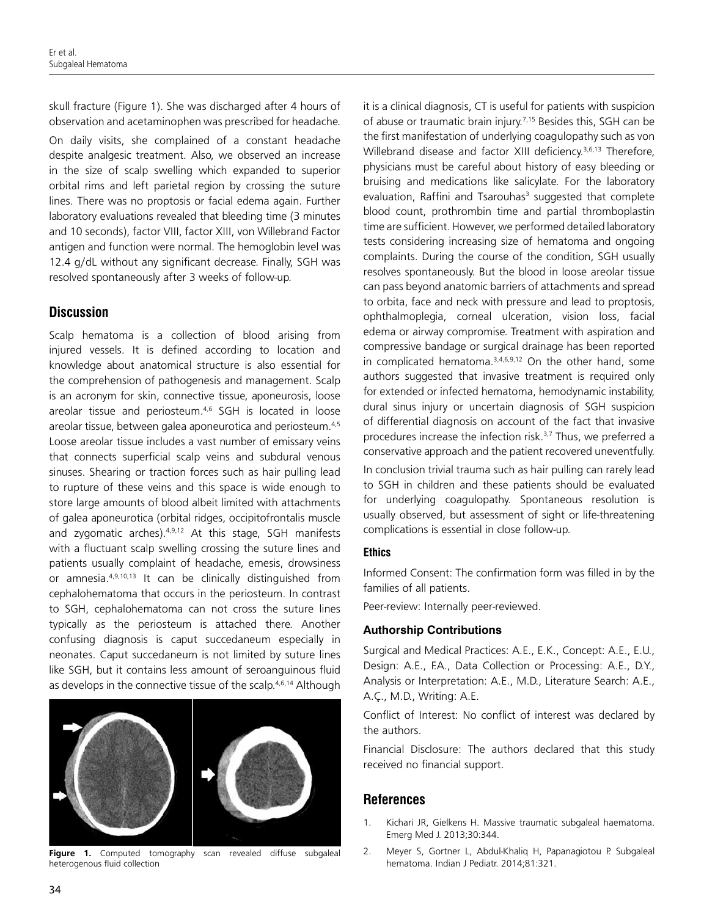skull fracture (Figure 1). She was discharged after 4 hours of observation and acetaminophen was prescribed for headache.

On daily visits, she complained of a constant headache despite analgesic treatment. Also, we observed an increase in the size of scalp swelling which expanded to superior orbital rims and left parietal region by crossing the suture lines. There was no proptosis or facial edema again. Further laboratory evaluations revealed that bleeding time (3 minutes and 10 seconds), factor VIII, factor XIII, von Willebrand Factor antigen and function were normal. The hemoglobin level was 12.4 g/dL without any significant decrease. Finally, SGH was resolved spontaneously after 3 weeks of follow-up.

# **Discussion**

Scalp hematoma is a collection of blood arising from injured vessels. It is defined according to location and knowledge about anatomical structure is also essential for the comprehension of pathogenesis and management. Scalp is an acronym for skin, connective tissue, aponeurosis, loose areolar tissue and periosteum.<sup>4,6</sup> SGH is located in loose areolar tissue, between galea aponeurotica and periosteum.<sup>4,5</sup> Loose areolar tissue includes a vast number of emissary veins that connects superficial scalp veins and subdural venous sinuses. Shearing or traction forces such as hair pulling lead to rupture of these veins and this space is wide enough to store large amounts of blood albeit limited with attachments of galea aponeurotica (orbital ridges, occipitofrontalis muscle and zygomatic arches).<sup>4,9,12</sup> At this stage, SGH manifests with a fluctuant scalp swelling crossing the suture lines and patients usually complaint of headache, emesis, drowsiness or amnesia.4,9,10,13 It can be clinically distinguished from cephalohematoma that occurs in the periosteum. In contrast to SGH, cephalohematoma can not cross the suture lines typically as the periosteum is attached there. Another confusing diagnosis is caput succedaneum especially in neonates. Caput succedaneum is not limited by suture lines like SGH, but it contains less amount of seroanguinous fluid as develops in the connective tissue of the scalp.<sup>4,6,14</sup> Although



**Figure 1.** Computed tomography scan revealed diffuse subgaleal heterogenous fluid collection

it is a clinical diagnosis, CT is useful for patients with suspicion of abuse or traumatic brain injury.<sup>7,15</sup> Besides this, SGH can be the first manifestation of underlying coagulopathy such as von Willebrand disease and factor XIII deficiency.<sup>3,6,13</sup> Therefore, physicians must be careful about history of easy bleeding or bruising and medications like salicylate. For the laboratory evaluation, Raffini and Tsarouhas<sup>3</sup> suggested that complete blood count, prothrombin time and partial thromboplastin time are sufficient. However, we performed detailed laboratory tests considering increasing size of hematoma and ongoing complaints. During the course of the condition, SGH usually resolves spontaneously. But the blood in loose areolar tissue can pass beyond anatomic barriers of attachments and spread to orbita, face and neck with pressure and lead to proptosis, ophthalmoplegia, corneal ulceration, vision loss, facial edema or airway compromise. Treatment with aspiration and compressive bandage or surgical drainage has been reported in complicated hematoma. $3,4,6,9,12$  On the other hand, some authors suggested that invasive treatment is required only for extended or infected hematoma, hemodynamic instability, dural sinus injury or uncertain diagnosis of SGH suspicion of differential diagnosis on account of the fact that invasive procedures increase the infection risk.<sup>3,7</sup> Thus, we preferred a conservative approach and the patient recovered uneventfully.

In conclusion trivial trauma such as hair pulling can rarely lead to SGH in children and these patients should be evaluated for underlying coagulopathy. Spontaneous resolution is usually observed, but assessment of sight or life-threatening complications is essential in close follow-up.

### **Ethics**

Informed Consent: The confirmation form was filled in by the families of all patients.

Peer-review: Internally peer-reviewed.

### **Authorship Contributions**

Surgical and Medical Practices: A.E., E.K., Concept: A.E., E.U., Design: A.E., F.A., Data Collection or Processing: A.E., D.Y., Analysis or Interpretation: A.E., M.D., Literature Search: A.E., A.Ç., M.D., Writing: A.E.

Conflict of Interest: No conflict of interest was declared by the authors.

Financial Disclosure: The authors declared that this study received no financial support.

# **References**

- 1. Kichari JR, Gielkens H. Massive traumatic subgaleal haematoma. Emerg Med J. 2013;30:344.
- 2. Meyer S, Gortner L, Abdul-Khaliq H, Papanagiotou P. Subgaleal hematoma. Indian J Pediatr. 2014;81:321.